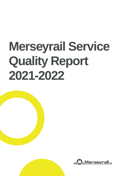# **Merseyrail Service Quality Report 2021-2022**

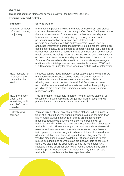### **Overview**

This report captures Merseyrail service quality for the Rail Year 2021-22.

# **Information and tickets**

| <b>Indicator</b>                                                                     | <b>Service Quality</b>                                                                                                                                                                                                                                                                                                                                                                                                                                                                                                                                                                                                                                                                                                                                                                                                                                                                                                                                                                                                                                |
|--------------------------------------------------------------------------------------|-------------------------------------------------------------------------------------------------------------------------------------------------------------------------------------------------------------------------------------------------------------------------------------------------------------------------------------------------------------------------------------------------------------------------------------------------------------------------------------------------------------------------------------------------------------------------------------------------------------------------------------------------------------------------------------------------------------------------------------------------------------------------------------------------------------------------------------------------------------------------------------------------------------------------------------------------------------------------------------------------------------------------------------------------------|
| Provision of travel<br>information during<br>the journey                             | Information in person or written format is available from any staffed<br>station, with most of our stations being staffed from 15 minutes before<br>the start of service to 15 minutes after the last train has departed.<br>Information is also prominently displayed using our electronic<br>passenger information system on each platform and<br>at static poster cases. A public address system is also used to<br>announce information across the network. Help points are located on<br>each platform allowing customers to contact National Rail Enquiries or<br>control room staff where required. Digital channels such as our social<br>media services including Twitter and Facebook are available between<br>06:00 to 23:30 Monday to Saturday and between 10:00 and 18:00 on<br>Sundays. Our website is also used to communicate key messages<br>and timetables. A telephone service is available between 07:00 and<br>19:00 Monday to Friday for those who may wish to call for information.                                            |
| How requests for<br>information are<br>handled at the<br>station                     | Requests can be made in person at our stations (where staffed). At<br>unstaffed station requests can be made via phone, website, or<br>social media. Help points are also located on each platform<br>allowing customers to contact National Rail Enquiries or control<br>room staff where required. All requests are dealt with as quickly as<br>possible. In most cases this is immediate with information being<br>readily available.                                                                                                                                                                                                                                                                                                                                                                                                                                                                                                                                                                                                              |
| How information<br>about train<br>schedules, tariffs<br>and platforms is<br>provided | This information is available in person from all staffed stations, our<br>website, our mobile app (using our journey planner tool) and via<br>posters located on platforms across our network.                                                                                                                                                                                                                                                                                                                                                                                                                                                                                                                                                                                                                                                                                                                                                                                                                                                        |
| <b>Ticket buying</b><br>facilities                                                   | You can buy a ticket at any of our staffed stations. When buying a<br>ticket at a ticket office, you should not need to queue for more than<br>five minutes. Queues at our ticket offices are independently<br>measured regularly and where we know more people will be<br>travelling, we will make sure there are enough members of our team<br>available to help. Tickets for longer journeys beyond the Merseyrail<br>network and seat reservations (available for some long-distance<br>train operators) may be bought in advance of travel if required from<br>all staffed stations and from rail appointed travel agents. Ticket<br>vending machines are also available at 19 of our stations to help<br>reduce queuing times or where staff are not available to sell you a<br>ticket. We also offer the opportunity to buy the Merseyrail Only<br>Railpass via the Liverpool City Region Combined Authority online<br>ticketing portal, MetroSmart. The Merseyrail Day Saver ticket is<br>available to buy online via the Merseyrail website. |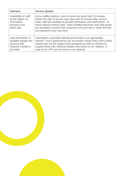| <b>Indicator</b>                                                                             | <b>Service Quality</b>                                                                                                                                                                                                                                                                                                                                                                            |
|----------------------------------------------------------------------------------------------|---------------------------------------------------------------------------------------------------------------------------------------------------------------------------------------------------------------------------------------------------------------------------------------------------------------------------------------------------------------------------------------------------|
| Availability of staff<br>at the station for<br>information<br>provision and<br>ticket sale   | At our staffed stations, most of which are open from 15 minutes<br>before the start of service each day until 15 minutes after service<br>ends, staff are available to provide information and retail tickets. At<br>those stations without staff, Ticket Vending Machines and help points<br>are provided to ensure that customers can purchase a ticket and ask<br>any questions they may have. |
| How information to<br>disabled people and<br>persons with<br>reduced mobility is<br>provided | Information is provided utilising all channels in an appropriate<br>manner. This is governed by our Accessible Travel Policy (ATP) which<br>clearly sets out the support and standards we seek to achieve to<br>support those with reduced mobility who travel on our network. A<br>copy of our ATP can be found on our website.                                                                  |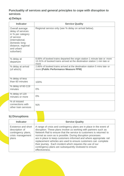## **Punctuality of services and general principles to cope with disruption to services**

# **a) Delays**

| <b>Indicator</b>                                                                                                                                              | <b>Service Quality</b>                                                                                                                                       |
|---------------------------------------------------------------------------------------------------------------------------------------------------------------|--------------------------------------------------------------------------------------------------------------------------------------------------------------|
| Overall average<br>delay of services<br>in % per category<br>of service<br>(international,<br>domestic long-<br>distance, regional<br>and urban/<br>suburban) | Regional service only (see % delay on arrival below).                                                                                                        |
| % delay at<br>departure                                                                                                                                       | 8.66% of booked trains departed the origin station 1 minute late or more<br>13.31% of booked trains arrived at the destination station 1 min late or<br>more |
| % delay at arrival<br>(of which):                                                                                                                             | 2.86% of booked trains arrived at the destination station 5 mins late or<br>more (Public Performance Measure PPM)                                            |
| % delay of less<br>than 60 minutes                                                                                                                            | 100%                                                                                                                                                         |
| % delay of 60-119<br>minutes                                                                                                                                  | $0\%$                                                                                                                                                        |
| % delay of 120<br>minutes or more                                                                                                                             | 0%                                                                                                                                                           |
| % of missed<br>connections with<br>other train services                                                                                                       | N/A                                                                                                                                                          |

# **b) Disruptions**

| <b>Indicator</b>                                                                          |                | <b>Service Quality</b>                                                                                                                                                                                                                                                                                                                                                                                                                                                                                                                       |
|-------------------------------------------------------------------------------------------|----------------|----------------------------------------------------------------------------------------------------------------------------------------------------------------------------------------------------------------------------------------------------------------------------------------------------------------------------------------------------------------------------------------------------------------------------------------------------------------------------------------------------------------------------------------------|
| Existence and short<br>description of<br>contingency plans,<br>crisis management<br>plans | effectiveness. | A range of crisis and contingency plans are in place in the event of<br>disruption. These plans involve us working with partners such as<br>Network Rail to ensure that the service to customers is returned to<br>normal as soon as is possible. During disruption processes<br>are in place to keep customers informed and where appropriate rail<br>replacement vehicles are used to ensure customers can complete<br>their journey. Each incident which requires the use of our<br>contingency plans are subsequently reviewed to ensure |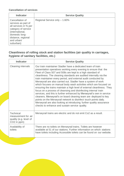#### **Cancellation of services**

| <b>Indicator</b>                                                                                                                                                             | <b>Service Quality</b>        |
|------------------------------------------------------------------------------------------------------------------------------------------------------------------------------|-------------------------------|
| Cancellation of<br>services as part of<br>all services in % per<br>category of service<br>(international,<br>domestic long-<br>distance, regional<br>and urban/<br>suburban) | Regional Service only - 1.60% |

## **Cleanliness of rolling stock and station facilities (air quality in carriages, hygiene of sanitary facilities, etc.)**

| <b>Indicator</b>                                                                             | <b>Service Quality</b>                                                                                                                                                                                                                                                                                                                                                                                                                                                                                                                                                                                                                                                                                                                                                                                                                                                                                                                                                  |
|----------------------------------------------------------------------------------------------|-------------------------------------------------------------------------------------------------------------------------------------------------------------------------------------------------------------------------------------------------------------------------------------------------------------------------------------------------------------------------------------------------------------------------------------------------------------------------------------------------------------------------------------------------------------------------------------------------------------------------------------------------------------------------------------------------------------------------------------------------------------------------------------------------------------------------------------------------------------------------------------------------------------------------------------------------------------------------|
| <b>Cleaning intervals</b>                                                                    | Our train maintainer Stadler have a dedicated team of train<br>presentation operatives working every evening to ensure that the<br>Fleet of Class 507 and 508s are kept to a high standard of<br>cleanliness. The cleaning standards are audited internally via the<br>train maintainer every period, and external audit conducted by<br>Merseyrail are also carried out. Stadler have a system of work<br>which focuses on manual body wash activities which are focused on<br>ensuring the trains maintain a high level of external cleanliness. They<br>focus on a process of cleansing and disinfecting internal train<br>services, and this is further enhanced by Merseyrail's own in service<br>cleaners. Merseyrail's on board cleaning team are deployed to key<br>points on the Merseyrail network to disinfect touch points daily.<br>Merseyrail are also looking at introducing further quality assurance<br>checks to enhance and sustain service quality. |
| <b>Technical</b><br>measurement for air<br>quality (e.g. level of<br>CO <sub>2</sub> in ppm) | Merseyrail trains are electric and do not emit Co2 as a result.                                                                                                                                                                                                                                                                                                                                                                                                                                                                                                                                                                                                                                                                                                                                                                                                                                                                                                         |
| Availability of<br>toilets                                                                   | There are no toilets on Merseyrail trains. Toilets are however<br>available at 51 of our stations. Further information on which stations<br>have toilets including Accessible toilets can be found on our website.                                                                                                                                                                                                                                                                                                                                                                                                                                                                                                                                                                                                                                                                                                                                                      |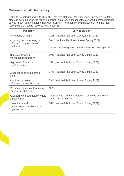## **Customer satisfaction survey**

It should be noted that due to COVID 19 that the National Rail Passenger Survey did not take place as normal during the reporting period. As a result, the industry launched a smaller interim survey known as the National Rail User Survey. The results shown below are from the most recent wave of results received by Merseyrail.

| <b>Indicator</b>                                                         | <b>Service Quality</b>                                                                                            |
|--------------------------------------------------------------------------|-------------------------------------------------------------------------------------------------------------------|
| Punctuality of trains                                                    | 91% (National Rail User Survey Spring 2022)                                                                       |
| Accuracy and availability of<br>information on train times/<br>platforms | 66%* (National Rail User Survey Spring 2022)<br>*Caution should be applied to this measure due to low sample size |
| Consistently good<br>maintenance/excellent                               | 89% (National Rail User Survey Spring 2022)                                                                       |
| High level of security on<br>train/ in station                           | 89% (National Rail User Survey Spring 2022)                                                                       |
| Cleanliness of inside of the<br>train                                    | 87% (National Rail User Survey Spring 2022)                                                                       |
| Provision of useful<br>information throughout the                        | 83% (National Rail User Survey Spring 2022)                                                                       |
| Response times to information<br>requests at stations                    | N/A                                                                                                               |
| Availability of good quality toilets<br>on every train                   | There are no toilets on Merseyrail services due to the<br>nature of our network.                                  |
| Cleanliness and<br>maintenance of stations to a<br>high standard         | 88% (National Rail User Survey Spring 2022)                                                                       |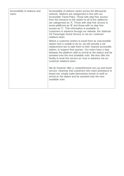| Accessibility of stations and<br>trains | Accessibility of stations varies across the Merseyrail<br>network. Stations are categorised in line with our<br>Accessible Travel Policy. Those with step free access<br>from the entrance to the station to all of the platforms<br>are categorised as 'A'. Those with step free access to<br>some platforms as 'B' and those with no step free<br>access as 'C'. This information is available to<br>customers in advance through our website, the National<br>UK Passenger Assist Service or via our customer<br>relations team. |
|-----------------------------------------|-------------------------------------------------------------------------------------------------------------------------------------------------------------------------------------------------------------------------------------------------------------------------------------------------------------------------------------------------------------------------------------------------------------------------------------------------------------------------------------------------------------------------------------|
|                                         | Where a customer wishes to travel from an inaccessible<br>station and is unable to do so, we will provide a rail<br>replacement taxi to take them to their nearest accessible<br>station, to support their journey. Our trains have a step<br>between the platform staff on arrival at the station and be<br>assisted onto the next available train. We also offer the<br>facility to book this service an hour in advance via our<br>customer relations team.                                                                      |
|                                         | We do however offer a comprehensive turn up and travel<br>service, meaning that customers who need assistance to<br>board can simply make themselves known to staff on<br>arrival at the station and be assisted onto the next<br>available train.                                                                                                                                                                                                                                                                                  |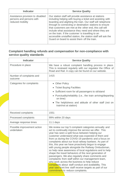| <b>Indicator</b>                                                                 | <b>Service Quality</b>                                                                                                                                                                                                                                                                                                                                                                                                                                                                                                              |
|----------------------------------------------------------------------------------|-------------------------------------------------------------------------------------------------------------------------------------------------------------------------------------------------------------------------------------------------------------------------------------------------------------------------------------------------------------------------------------------------------------------------------------------------------------------------------------------------------------------------------------|
| Assistance provision to disabled<br>persons and persons with<br>reduced mobility | Our station staff will provide assistance at stations<br>including helping with buying a ticket and assisting with<br>boarding and alighting the train. Our staff will telephone<br>through to connecting or destination stations to ensure<br>that customers are met at the other end, this call will<br>include what assistance they need and where they are<br>on the train. If the customer is travelling to an<br>accessible unstaffed station, the station staff will ask the<br>Guard on board to assist them off the train. |

## **Complaint handling refunds and compensation for non-compliance with service quality standards**

| <b>Indicator</b>                          | <b>Service Quality</b>                                                                                                                                                                                                                                                                                                                                                                                                                                                                                                                                                                                                                                                                                                                                                                                                                                                                    |
|-------------------------------------------|-------------------------------------------------------------------------------------------------------------------------------------------------------------------------------------------------------------------------------------------------------------------------------------------------------------------------------------------------------------------------------------------------------------------------------------------------------------------------------------------------------------------------------------------------------------------------------------------------------------------------------------------------------------------------------------------------------------------------------------------------------------------------------------------------------------------------------------------------------------------------------------------|
| Procedure in place                        | We have a robust complaint handling process in place.<br>This is reviewed regularly with our regulator the Office of<br>Road and Rail. A copy can be found on our website.                                                                                                                                                                                                                                                                                                                                                                                                                                                                                                                                                                                                                                                                                                                |
| Number of complaints and<br>outcome       | 1415                                                                                                                                                                                                                                                                                                                                                                                                                                                                                                                                                                                                                                                                                                                                                                                                                                                                                      |
| Categories for complaints                 | • Other Policy                                                                                                                                                                                                                                                                                                                                                                                                                                                                                                                                                                                                                                                                                                                                                                                                                                                                            |
|                                           | <b>Ticket Buying Facilities</b><br>$\bullet$                                                                                                                                                                                                                                                                                                                                                                                                                                                                                                                                                                                                                                                                                                                                                                                                                                              |
|                                           | Sufficient room for all passengers to sit/stand<br>$\bullet$                                                                                                                                                                                                                                                                                                                                                                                                                                                                                                                                                                                                                                                                                                                                                                                                                              |
|                                           | • Punctuality/reliability (i.e., the train arriving/departing<br>on time)                                                                                                                                                                                                                                                                                                                                                                                                                                                                                                                                                                                                                                                                                                                                                                                                                 |
|                                           | • The helpfulness and attitude of other staff (not on<br>train/not at station)                                                                                                                                                                                                                                                                                                                                                                                                                                                                                                                                                                                                                                                                                                                                                                                                            |
| Received complaints                       | 1551                                                                                                                                                                                                                                                                                                                                                                                                                                                                                                                                                                                                                                                                                                                                                                                                                                                                                      |
| Processed complaints                      | 99% within 20 days                                                                                                                                                                                                                                                                                                                                                                                                                                                                                                                                                                                                                                                                                                                                                                                                                                                                        |
| Average response times                    | 11.1 days                                                                                                                                                                                                                                                                                                                                                                                                                                                                                                                                                                                                                                                                                                                                                                                                                                                                                 |
| Possible improvement action<br>undertaken | We review our top 5 complaint categories annually and<br>act to continually improve the service we offer. This<br>year has seen a split focus between helping our<br>customer understand what was expected of them and<br>from us during the COVID-19 pandemic and a focus on<br>complaints about our local railway byelaws. As part of<br>this, this year we have proactively begun to engage<br>with young people alongside the Railway Ombudsman,<br>so help raise awareness of local regulations and to help<br>shape the travel behaviors of the next generation of<br>passengers. We also regularly share comments and<br>complaints from staff within our management team,<br>who work across the business to help reduce<br>complaints about staff conduct and availability. This<br>year saw front line staff receive targets as part of our<br>commitment to reduce complaints. |